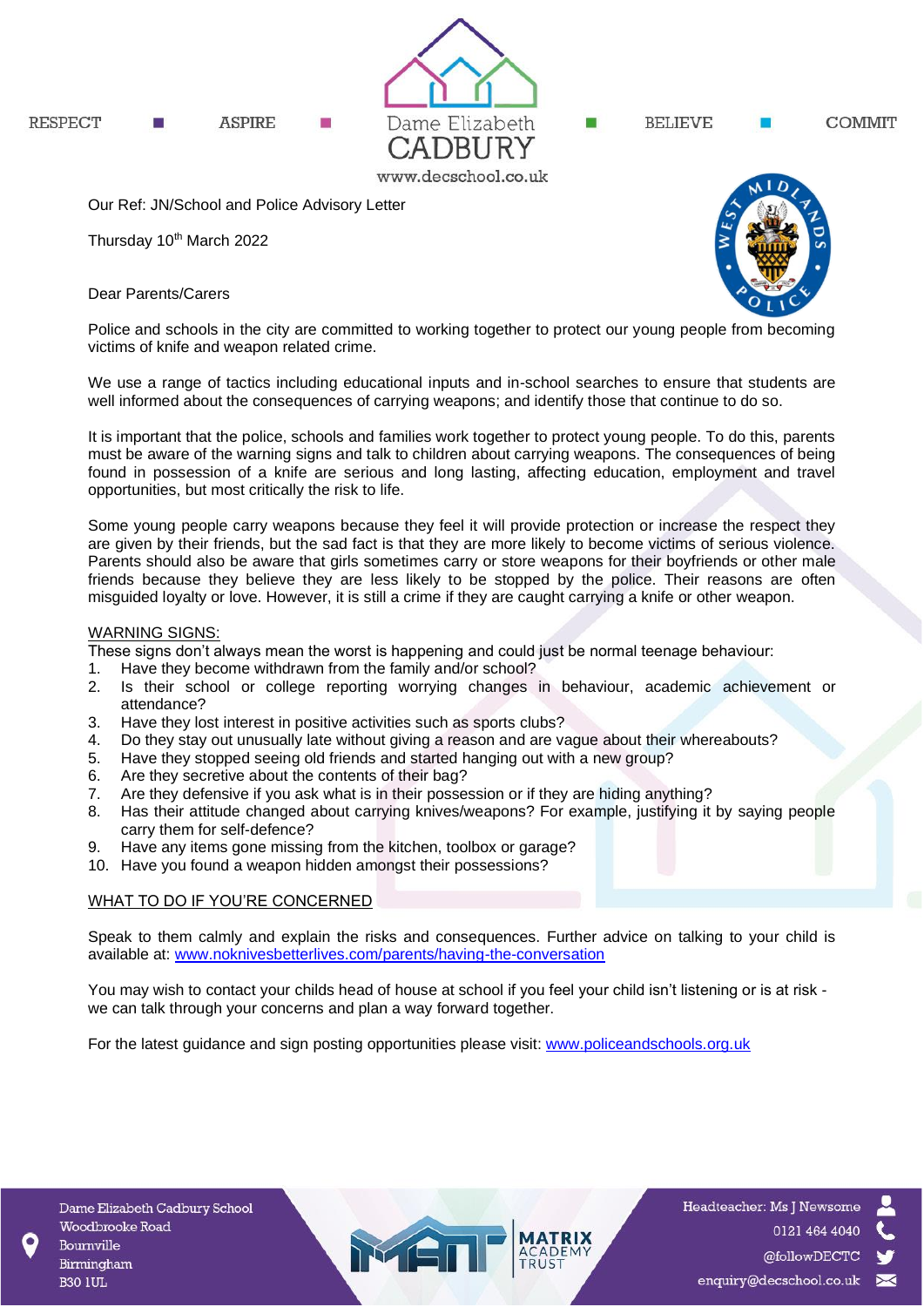



BELIEVE

**COMMIT** 

Our Ref: JN/School and Police Advisory Letter

Thursday 10<sup>th</sup> March 2022

Dear Parents/Carers



Police and schools in the city are committed to working together to protect our young people from becoming victims of knife and weapon related crime.

We use a range of tactics including educational inputs and in-school searches to ensure that students are well informed about the consequences of carrying weapons; and identify those that continue to do so.

It is important that the police, schools and families work together to protect young people. To do this, parents must be aware of the warning signs and talk to children about carrying weapons. The consequences of being found in possession of a knife are serious and long lasting, affecting education, employment and travel opportunities, but most critically the risk to life.

Some young people carry weapons because they feel it will provide protection or increase the respect they are given by their friends, but the sad fact is that they are more likely to become victims of serious violence. Parents should also be aware that girls sometimes carry or store weapons for their boyfriends or other male friends because they believe they are less likely to be stopped by the police. Their reasons are often misguided loyalty or love. However, it is still a crime if they are caught carrying a knife or other weapon.

## WARNING SIGNS:

These signs don't always mean the worst is happening and could just be normal teenage behaviour:

- 1. Have they become withdrawn from the family and/or school?
- 2. Is their school or college reporting worrying changes in behaviour, academic achievement or attendance?
- 3. Have they lost interest in positive activities such as sports clubs?
- 4. Do they stay out unusually late without giving a reason and are vague about their whereabouts?
- 5. Have they stopped seeing old friends and started hanging out with a new group?
- 
- 6. Are they secretive about the contents of their bag?<br>7. Are they defensive if you ask what is in their posse Are they defensive if you ask what is in their possession or if they are hiding anything?
- 8. Has their attitude changed about carrying knives/weapons? For example, justifying it by saying people carry them for self-defence?
- 9. Have any items gone missing from the kitchen, toolbox or garage?
- 10. Have you found a weapon hidden amongst their possessions?

## WHAT TO DO IF YOU'RE CONCERNED

Speak to them calmly and explain the risks and consequences. Further advice on talking to your child is available at: [www.noknivesbetterlives.com/parents/having-the-conversation](http://www.noknivesbetterlives.com/parents/having-the-conversation)

You may wish to contact your childs head of house at school if you feel your child isn't listening or is at risk we can talk through your concerns and plan a way forward together.

For the latest guidance and sign posting opportunities please visit: [www.policeandschools.org.uk](http://www.policeandschools.org.uk/)

MET

Headteacher: Ms J Newsome 0121 464 4040 @followDECTC enquiry@decschool.co.uk